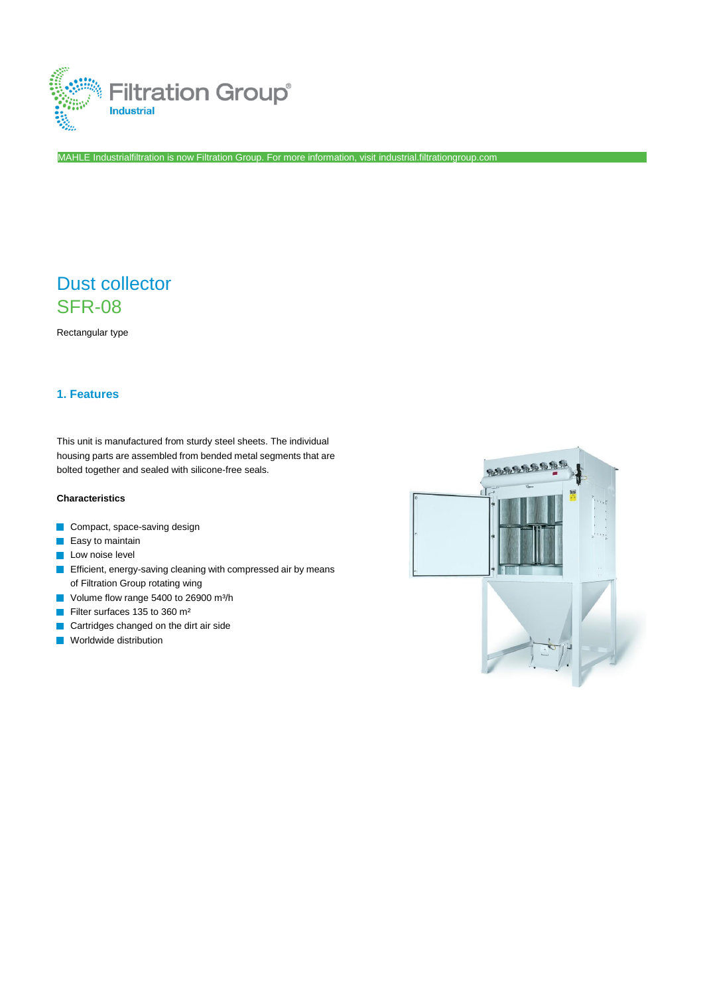

MAHLE Industrialfiltration is now Filtration Group. For more information, visi[t industrial.filtrationgroup.com](http://www.filtrationgroup.com/)

# Dust collector SFR-08

Rectangular type

# **1. Features**

This unit is manufactured from sturdy steel sheets. The individual housing parts are assembled from bended metal segments that are bolted together and sealed with silicone-free seals.

# **Characteristics**

- Compact, space-saving design
- $\blacksquare$  Easy to maintain
- **Low noise level**
- **Efficient, energy-saving cleaning with compressed air by means** of Filtration Group rotating wing
- Volume flow range 5400 to 26900 m<sup>3</sup>/h
- Filter surfaces 135 to 360 m²  $\overline{\mathcal{A}}$
- Cartridges changed on the dirt air side
- **Norldwide distribution**

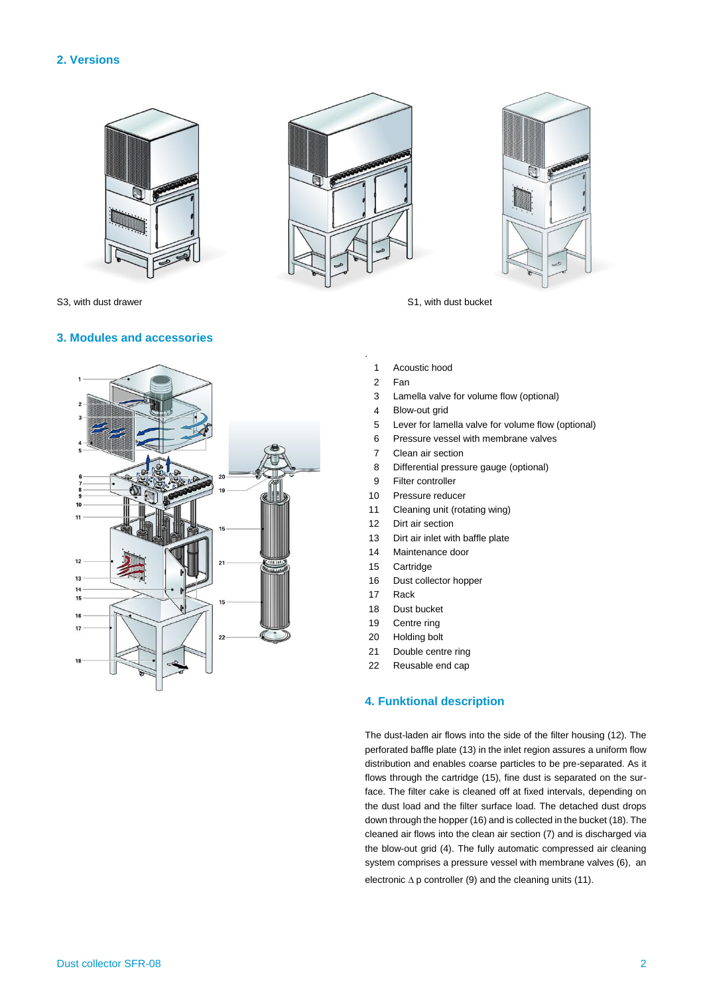# **2. Versions**







S3, with dust drawer S1, with dust bucket

## **3. Modules and accessories**



- 
- 1 Acoustic hood
- 2 Fan

.

- 3 Lamella valve for volume flow (optional)
- 4 Blow-out grid
- 5 Lever for lamella valve for volume flow (optional)
- 6 Pressure vessel with membrane valves
- 7 Clean air section
- 8 Differential pressure gauge (optional)
- 9 Filter controller
- 10 Pressure reducer
- 11 Cleaning unit (rotating wing)
- 12 Dirt air section
- 13 Dirt air inlet with baffle plate
- 14 Maintenance door
- 15 Cartridge
- 16 Dust collector hopper
- 17 Rack
- 18 Dust bucket
- 19 Centre ring
- 20 Holding bolt
- 21 Double centre ring
- 22 Reusable end cap

## **4. Funktional description**

The dust-laden air flows into the side of the filter housing (12). The perforated baffle plate (13) in the inlet region assures a uniform flow distribution and enables coarse particles to be pre-separated. As it flows through the cartridge (15), fine dust is separated on the surface. The filter cake is cleaned off at fixed intervals, depending on the dust load and the filter surface load. The detached dust drops down through the hopper (16) and is collected in the bucket (18). The cleaned air flows into the clean air section (7) and is discharged via the blow-out grid (4). The fully automatic compressed air cleaning system comprises a pressure vessel with membrane valves (6), an electronic  $\Delta p$  controller (9) and the cleaning units (11).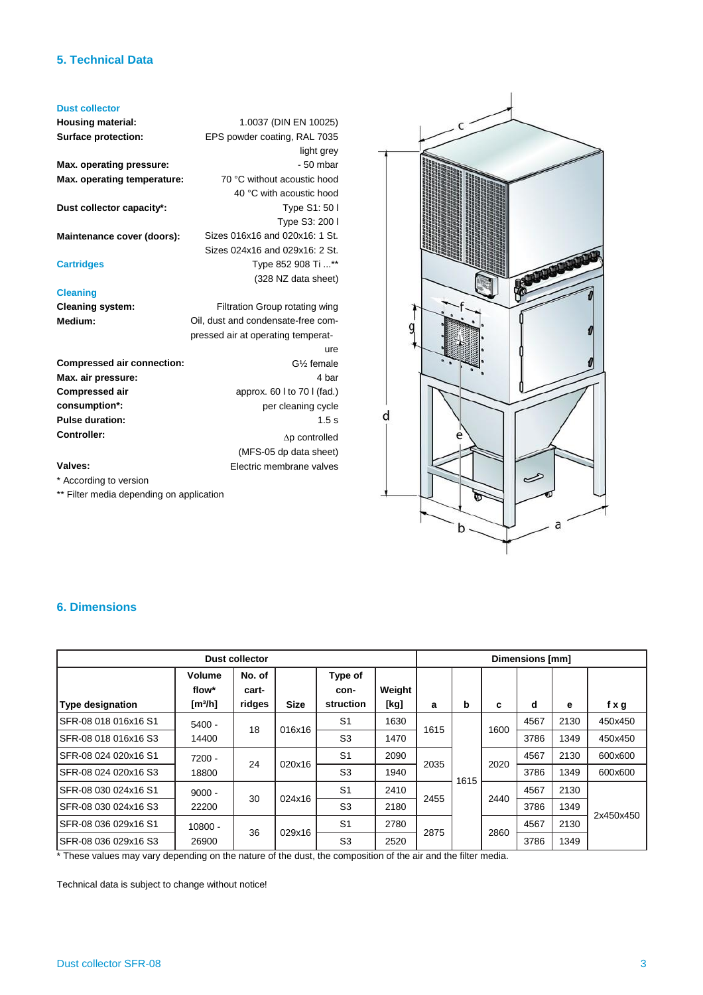# **5. Technical Data**

#### **Dust collector**

**Housing material: Surface protection:**

**Max. operating pressure: Max. operating temperature:**

**Dust collector capacity\*:**

**Maintenance cover (doors):**

## **Cartridges**

## **Cleaning**

**Cleaning system: Medium:**

G½ female approx. 60 l to 70 l (fad.) per cleaning cycle  $\Delta p$  controlled (MFS-05 dp data sheet) Electric membrane valves **Compressed air connection: Max. air pressure: Compressed air consumption\*: Pulse duration: Controller:**

# **Valves:**

\* According to version

\*\* Filter media depending on application



# **6. Dimensions**

| <b>Dust collector</b>   |                                        |                           |             |                              |                | Dimensions [mm] |      |      |      |      |           |
|-------------------------|----------------------------------------|---------------------------|-------------|------------------------------|----------------|-----------------|------|------|------|------|-----------|
| <b>Type designation</b> | Volume<br>flow*<br>[m <sup>3</sup> /h] | No. of<br>cart-<br>ridges | <b>Size</b> | Type of<br>con-<br>struction | Weight<br>[kg] | a               | b    | c    | d    | е    | fxg       |
| SFR-08 018 016x16 S1    | $5400 -$                               |                           | 016x16      | S <sub>1</sub>               | 1630           |                 | 1615 | 1600 | 4567 | 2130 | 450x450   |
| SFR-08 018 016x16 S3    | 14400                                  | 18                        |             | S <sub>3</sub>               | 1470           | 1615            |      |      | 3786 | 1349 | 450x450   |
| SFR-08 024 020x16 S1    | $7200 -$                               | 24                        | 020x16      | S <sub>1</sub>               | 2090           | 2035            |      | 2020 | 4567 | 2130 | 600x600   |
| SFR-08 024 020x16 S3    | 18800                                  |                           |             | S <sub>3</sub>               | 1940           |                 |      |      | 3786 | 1349 | 600x600   |
| SFR-08 030 024x16 S1    | $9000 -$                               | 30                        | 024x16      | S <sub>1</sub>               | 2410           | 2455            |      | 2440 | 4567 | 2130 | 2x450x450 |
| SFR-08 030 024x16 S3    | 22200                                  |                           |             | S <sub>3</sub>               | 2180           |                 |      |      | 3786 | 1349 |           |
| SFR-08 036 029x16 S1    | $10800 -$                              | 36                        | 029x16      | S <sub>1</sub>               | 2780           | 2875            |      | 2860 | 4567 | 2130 |           |
| SFR-08 036 029x16 S3    | 26900                                  |                           |             | S <sub>3</sub>               | 2520           |                 |      |      | 3786 | 1349 |           |

\* These values may vary depending on the nature of the dust, the composition of the air and the filter media.

1.0037 (DIN EN 10025) EPS powder coating, RAL 7035

> 70 °C without acoustic hood 40 °C with acoustic hood

Sizes 016x16 and 020x16: 1 St. Sizes 024x16 and 029x16: 2 St.

Filtration Group rotating wing Oil, dust and condensate-free compressed air at operating temperat-

light grey - 50 mbar

Type S1: 50 l Type S3: 200 l

ure

4 bar

1.5 s

Type 852 908 Ti ...\*\* (328 NZ data sheet)

Technical data is subject to change without notice!